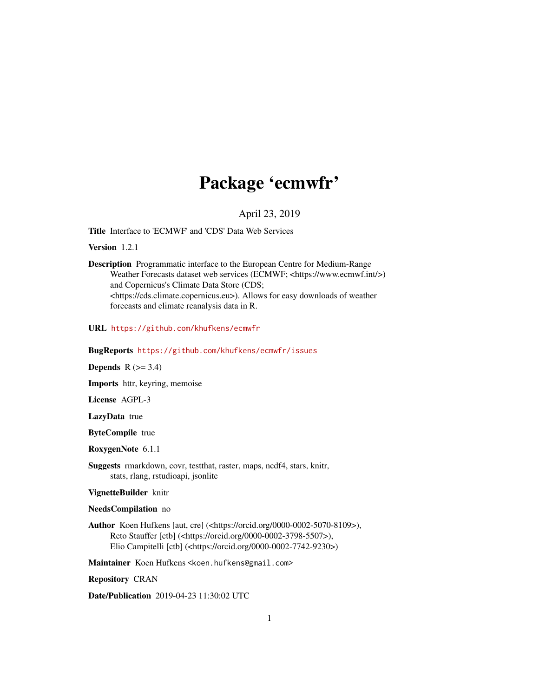## Package 'ecmwfr'

April 23, 2019

Title Interface to 'ECMWF' and 'CDS' Data Web Services

Version 1.2.1

Description Programmatic interface to the European Centre for Medium-Range Weather Forecasts dataset web services (ECMWF; <https://www.ecmwf.int/>) and Copernicus's Climate Data Store (CDS; <https://cds.climate.copernicus.eu>). Allows for easy downloads of weather forecasts and climate reanalysis data in R.

URL <https://github.com/khufkens/ecmwfr>

BugReports <https://github.com/khufkens/ecmwfr/issues>

Depends  $R$  ( $>= 3.4$ )

Imports httr, keyring, memoise

License AGPL-3

LazyData true

ByteCompile true

RoxygenNote 6.1.1

Suggests rmarkdown, covr, testthat, raster, maps, ncdf4, stars, knitr, stats, rlang, rstudioapi, jsonlite

VignetteBuilder knitr

NeedsCompilation no

Author Koen Hufkens [aut, cre] (<https://orcid.org/0000-0002-5070-8109>), Reto Stauffer [ctb] (<https://orcid.org/0000-0002-3798-5507>), Elio Campitelli [ctb] (<https://orcid.org/0000-0002-7742-9230>)

Maintainer Koen Hufkens <koen.hufkens@gmail.com>

Repository CRAN

Date/Publication 2019-04-23 11:30:02 UTC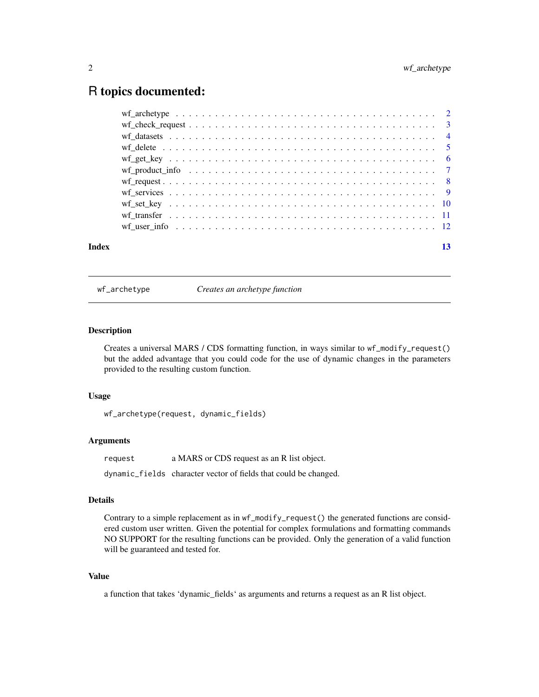### <span id="page-1-0"></span>R topics documented:

| Index | 13 |
|-------|----|
|       |    |
|       |    |
|       |    |
|       |    |
|       |    |
|       |    |
|       |    |
|       |    |
|       |    |
|       |    |
|       |    |

wf\_archetype *Creates an archetype function*

#### Description

Creates a universal MARS / CDS formatting function, in ways similar to wf\_modify\_request() but the added advantage that you could code for the use of dynamic changes in the parameters provided to the resulting custom function.

#### Usage

```
wf_archetype(request, dynamic_fields)
```
#### Arguments

request a MARS or CDS request as an R list object.

dynamic\_fields character vector of fields that could be changed.

#### Details

Contrary to a simple replacement as in wf\_modify\_request() the generated functions are considered custom user written. Given the potential for complex formulations and formatting commands NO SUPPORT for the resulting functions can be provided. Only the generation of a valid function will be guaranteed and tested for.

#### Value

a function that takes 'dynamic\_fields' as arguments and returns a request as an R list object.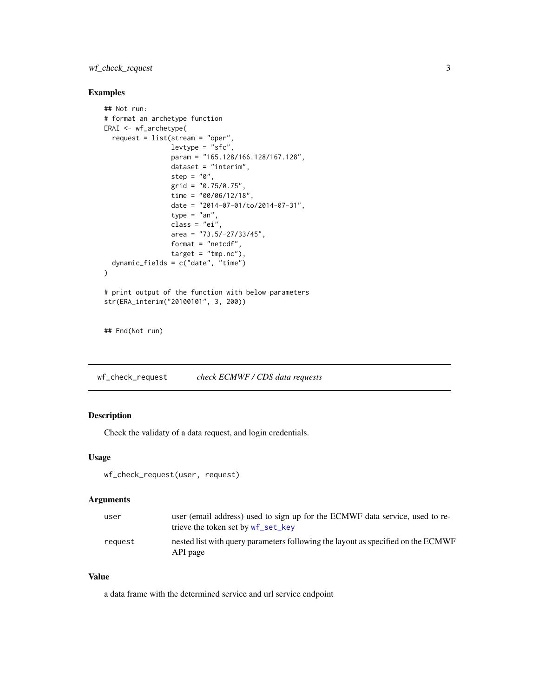#### <span id="page-2-0"></span>wf\_check\_request 3

#### Examples

```
## Not run:
# format an archetype function
ERAI <- wf_archetype(
  request = list(stream = "oper",
                 levtype = "sfc",param = "165.128/166.128/167.128",
                 dataset = "interim",
                 step = "0",grid = "0.75/0.75",
                 time = "00/06/12/18",
                 date = "2014-07-01/to/2014-07-31",
                 type = "an",class = "ei",
                 area = "73.5/-27/33/45",format = "netcdf",
                 target = "tmp.nc"),dynamic_fields = c("date", "time")
\mathcal{L}# print output of the function with below parameters
str(ERA_interim("20100101", 3, 200))
```
## End(Not run)

wf\_check\_request *check ECMWF / CDS data requests*

#### Description

Check the validaty of a data request, and login credentials.

#### Usage

```
wf_check_request(user, request)
```
#### Arguments

| user    | user (email address) used to sign up for the ECMWF data service, used to re-<br>trieve the token set by wf_set_key |
|---------|--------------------------------------------------------------------------------------------------------------------|
| reauest | nested list with query parameters following the layout as specified on the ECMWF<br>API page                       |

#### Value

a data frame with the determined service and url service endpoint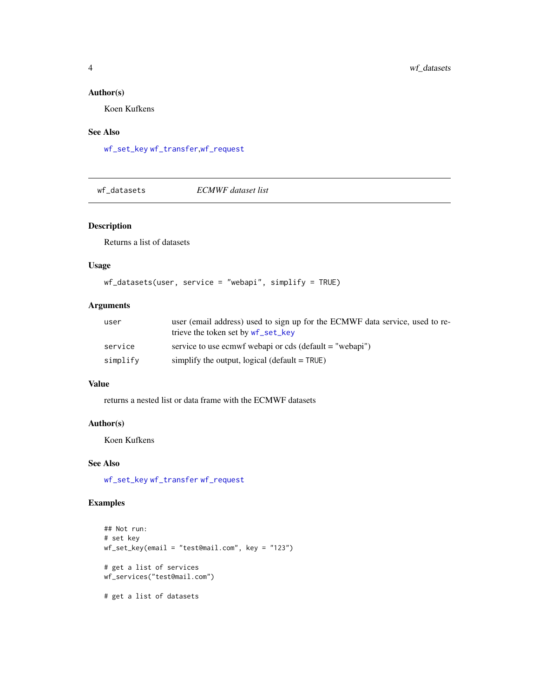#### <span id="page-3-0"></span>Author(s)

Koen Kufkens

#### See Also

[wf\\_set\\_key](#page-9-1) [wf\\_transfer](#page-10-1),[wf\\_request](#page-7-1)

<span id="page-3-1"></span>wf\_datasets *ECMWF dataset list*

#### Description

Returns a list of datasets

#### Usage

```
wf_datasets(user, service = "webapi", simplify = TRUE)
```
#### Arguments

| user     | user (email address) used to sign up for the ECMWF data service, used to re-<br>trieve the token set by wf_set_key |
|----------|--------------------------------------------------------------------------------------------------------------------|
| service  | service to use ecmwf webapi or cds (default $=$ "webapi")                                                          |
| simplify | simplify the output, logical (default $=$ TRUE)                                                                    |

#### Value

returns a nested list or data frame with the ECMWF datasets

#### Author(s)

Koen Kufkens

#### See Also

[wf\\_set\\_key](#page-9-1) [wf\\_transfer](#page-10-1) [wf\\_request](#page-7-1)

```
## Not run:
# set key
wf_set_key(email = "test@mail.com", key = "123")
# get a list of services
wf_services("test@mail.com")
# get a list of datasets
```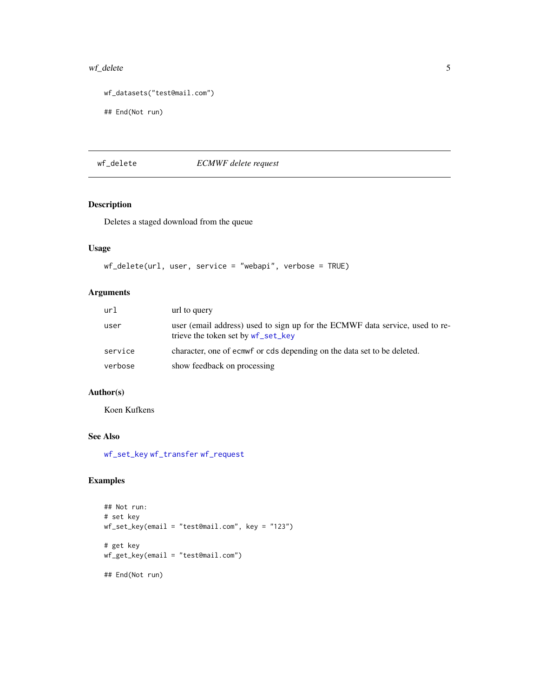#### <span id="page-4-0"></span>wf\_delete 5

```
wf_datasets("test@mail.com")
```

```
## End(Not run)
```
wf\_delete *ECMWF delete request*

#### Description

Deletes a staged download from the queue

#### Usage

```
wf_delete(url, user, service = "webapi", verbose = TRUE)
```
#### Arguments

| url     | url to query                                                                                                       |
|---------|--------------------------------------------------------------------------------------------------------------------|
| user    | user (email address) used to sign up for the ECMWF data service, used to re-<br>trieve the token set by wf_set_key |
| service | character, one of ecmw for cds depending on the data set to be deleted.                                            |
| verbose | show feedback on processing                                                                                        |

#### Author(s)

Koen Kufkens

#### See Also

[wf\\_set\\_key](#page-9-1) [wf\\_transfer](#page-10-1) [wf\\_request](#page-7-1)

```
## Not run:
# set key
wf_set_key(email = "test@mail.com", key = "123")
# get key
wf_get_key(email = "test@mail.com")
## End(Not run)
```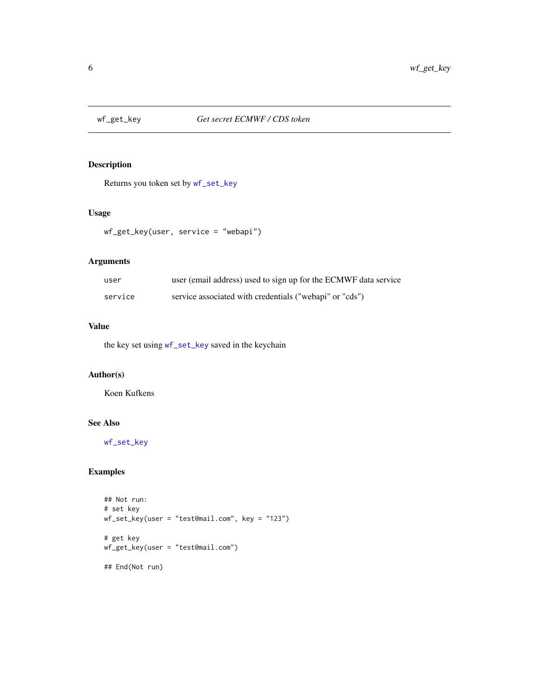<span id="page-5-1"></span><span id="page-5-0"></span>

#### Description

Returns you token set by [wf\\_set\\_key](#page-9-1)

#### Usage

wf\_get\_key(user, service = "webapi")

#### Arguments

| user    | user (email address) used to sign up for the ECMWF data service |
|---------|-----------------------------------------------------------------|
| service | service associated with credentials ("webapi" or "cds")         |

#### Value

the key set using [wf\\_set\\_key](#page-9-1) saved in the keychain

#### Author(s)

Koen Kufkens

#### See Also

[wf\\_set\\_key](#page-9-1)

```
## Not run:
# set key
wf_set_key(user = "test@mail.com", key = "123")
# get key
wf_get_key(user = "test@mail.com")
## End(Not run)
```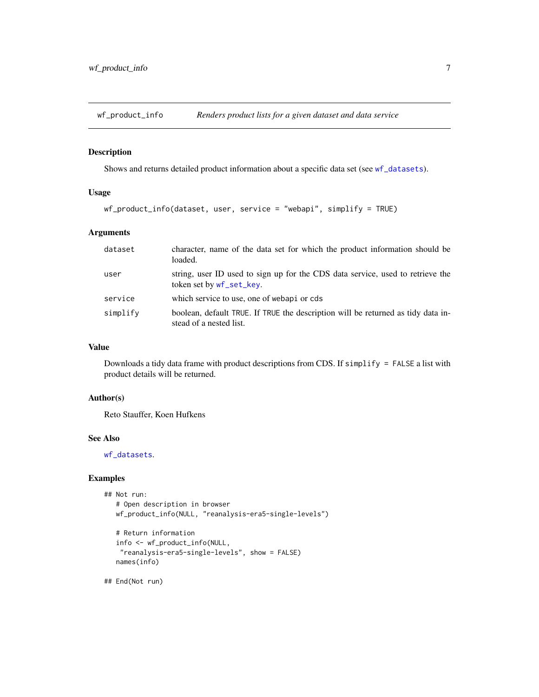<span id="page-6-0"></span>

#### Description

Shows and returns detailed product information about a specific data set (see [wf\\_datasets](#page-3-1)).

#### Usage

```
wf_product_info(dataset, user, service = "webapi", simplify = TRUE)
```
#### Arguments

| dataset  | character, name of the data set for which the product information should be<br>loaded.                      |
|----------|-------------------------------------------------------------------------------------------------------------|
| user     | string, user ID used to sign up for the CDS data service, used to retrieve the<br>token set by wf_set_key.  |
| service  | which service to use, one of webapi or cds                                                                  |
| simplify | boolean, default TRUE. If TRUE the description will be returned as tidy data in-<br>stead of a nested list. |

#### Value

Downloads a tidy data frame with product descriptions from CDS. If simplify = FALSE a list with product details will be returned.

#### Author(s)

Reto Stauffer, Koen Hufkens

#### See Also

[wf\\_datasets](#page-3-1).

#### Examples

```
## Not run:
  # Open description in browser
  wf_product_info(NULL, "reanalysis-era5-single-levels")
  # Return information
  info <- wf_product_info(NULL,
```

```
"reanalysis-era5-single-levels", show = FALSE)
names(info)
```
## End(Not run)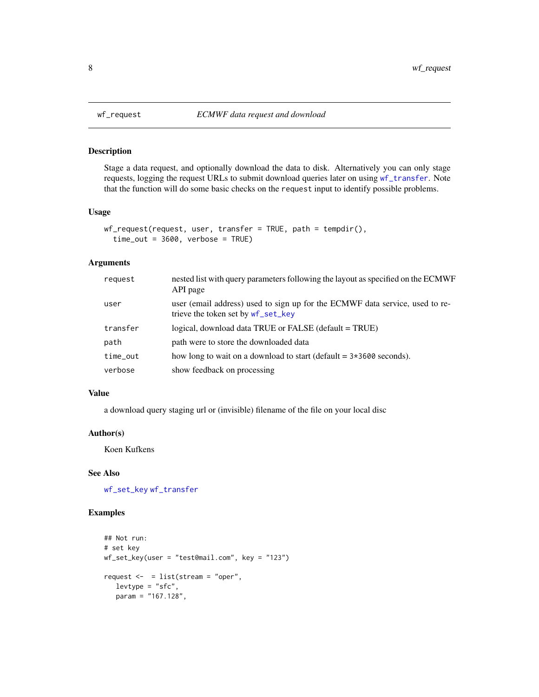#### Description

Stage a data request, and optionally download the data to disk. Alternatively you can only stage requests, logging the request URLs to submit download queries later on using [wf\\_transfer](#page-10-1). Note that the function will do some basic checks on the request input to identify possible problems.

#### Usage

```
wf_request(request, user, transfer = TRUE, path = tempdir(),
  time_out = 3600, verbose = TRUE)
```
#### Arguments

| request  | nested list with query parameters following the layout as specified on the ECMWF<br>API page                       |
|----------|--------------------------------------------------------------------------------------------------------------------|
| user     | user (email address) used to sign up for the ECMWF data service, used to re-<br>trieve the token set by wf_set_key |
| transfer | logical, download data TRUE or FALSE (default = TRUE)                                                              |
| path     | path were to store the downloaded data                                                                             |
| time_out | how long to wait on a download to start (default $= 3*3600$ seconds).                                              |
| verbose  | show feedback on processing                                                                                        |

#### Value

a download query staging url or (invisible) filename of the file on your local disc

#### Author(s)

Koen Kufkens

#### See Also

[wf\\_set\\_key](#page-9-1) [wf\\_transfer](#page-10-1)

```
## Not run:
# set key
wf_set_key(user = "test@mail.com", key = "123")
request \le - = list(stream = "oper",
  levtype = "sfc",param = "167.128",
```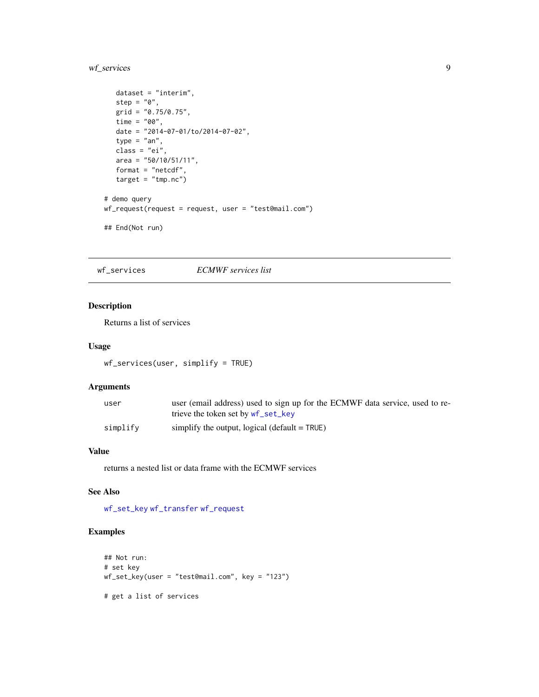#### <span id="page-8-0"></span>wf\_services 9

```
dataset = "interim",
  step = "0",grid = "0.75/0.75",
   time = "00",date = "2014-07-01/to/2014-07-02",
   type = "an",class = "ei",
  area = "50/10/51/11",
  format = "netcdf",
  target = "tmp.nc")# demo query
wf_request(request = request, user = "test@mail.com")
## End(Not run)
```
<span id="page-8-1"></span>wf\_services *ECMWF services list*

#### Description

Returns a list of services

#### Usage

```
wf_services(user, simplify = TRUE)
```
#### Arguments

| user     | user (email address) used to sign up for the ECMWF data service, used to re- |
|----------|------------------------------------------------------------------------------|
|          | trieve the token set by wf_set_key                                           |
| simplify | simplify the output, logical $(\text{default} = \text{TRUE})$                |

#### Value

returns a nested list or data frame with the ECMWF services

#### See Also

[wf\\_set\\_key](#page-9-1) [wf\\_transfer](#page-10-1) [wf\\_request](#page-7-1)

```
## Not run:
# set key
wf_set_key(user = "test@mail.com", key = "123")
# get a list of services
```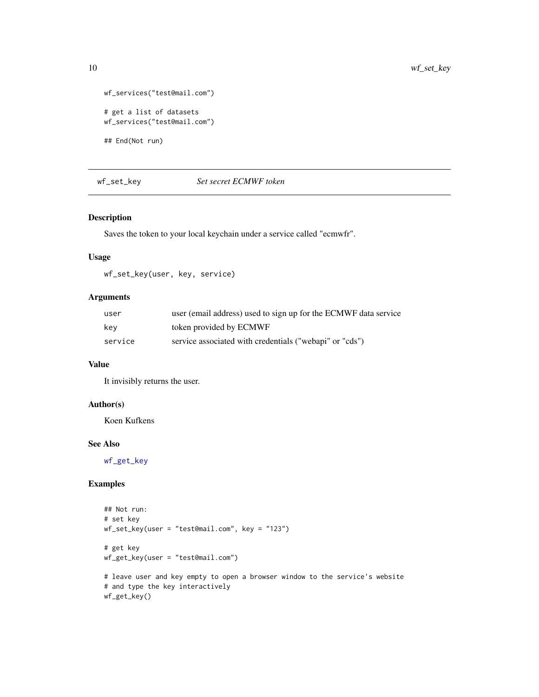```
wf_services("test@mail.com")
# get a list of datasets
wf_services("test@mail.com")
```
## End(Not run)

<span id="page-9-1"></span>wf\_set\_key *Set secret ECMWF token*

#### Description

Saves the token to your local keychain under a service called "ecmwfr".

#### Usage

wf\_set\_key(user, key, service)

#### Arguments

| user    | user (email address) used to sign up for the ECMWF data service |
|---------|-----------------------------------------------------------------|
| kev     | token provided by ECMWF                                         |
| service | service associated with credentials ("webapi" or "cds")         |

#### Value

It invisibly returns the user.

#### Author(s)

Koen Kufkens

#### See Also

[wf\\_get\\_key](#page-5-1)

```
## Not run:
# set key
wf_set_key(user = "test@mail.com", key = "123")
# get key
wf_get_key(user = "test@mail.com")
# leave user and key empty to open a browser window to the service's website
# and type the key interactively
wf_get_key()
```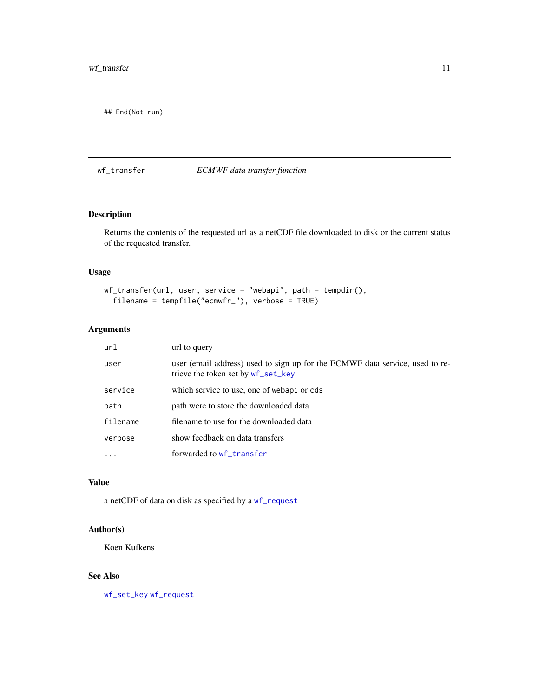<span id="page-10-0"></span>## End(Not run)

#### <span id="page-10-1"></span>wf\_transfer *ECMWF data transfer function*

#### Description

Returns the contents of the requested url as a netCDF file downloaded to disk or the current status of the requested transfer.

#### Usage

```
wf_transfer(url, user, service = "webapi", path = tempdir(),
  filename = tempfile("ecmwfr_"), verbose = TRUE)
```
#### Arguments

| url      | url to query                                                                                                        |
|----------|---------------------------------------------------------------------------------------------------------------------|
| user     | user (email address) used to sign up for the ECMWF data service, used to re-<br>trieve the token set by wf_set_key. |
| service  | which service to use, one of webapi or cds                                                                          |
| path     | path were to store the downloaded data                                                                              |
| filename | filename to use for the downloaded data                                                                             |
| verbose  | show feedback on data transfers                                                                                     |
|          | forwarded to wf_transfer                                                                                            |

#### Value

a netCDF of data on disk as specified by a [wf\\_request](#page-7-1)

#### Author(s)

Koen Kufkens

#### See Also

[wf\\_set\\_key](#page-9-1) [wf\\_request](#page-7-1)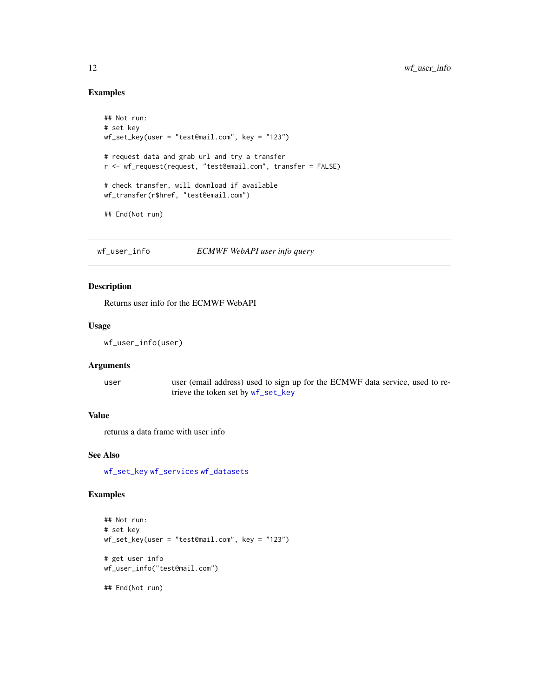#### Examples

```
## Not run:
# set key
wf_set_key(user = "test@mail.com", key = "123")
# request data and grab url and try a transfer
r <- wf_request(request, "test@email.com", transfer = FALSE)
# check transfer, will download if available
wf_transfer(r$href, "test@email.com")
## End(Not run)
```
wf\_user\_info *ECMWF WebAPI user info query*

#### Description

Returns user info for the ECMWF WebAPI

#### Usage

wf\_user\_info(user)

#### Arguments

| user | user (email address) used to sign up for the ECMWF data service, used to re- |
|------|------------------------------------------------------------------------------|
|      | trieve the token set by wf_set_key                                           |

#### Value

returns a data frame with user info

#### See Also

[wf\\_set\\_key](#page-9-1) [wf\\_services](#page-8-1) [wf\\_datasets](#page-3-1)

```
## Not run:
# set key
wf_set_key(user = "test@mail.com", key = "123")
# get user info
wf_user_info("test@mail.com")
## End(Not run)
```
<span id="page-11-0"></span>